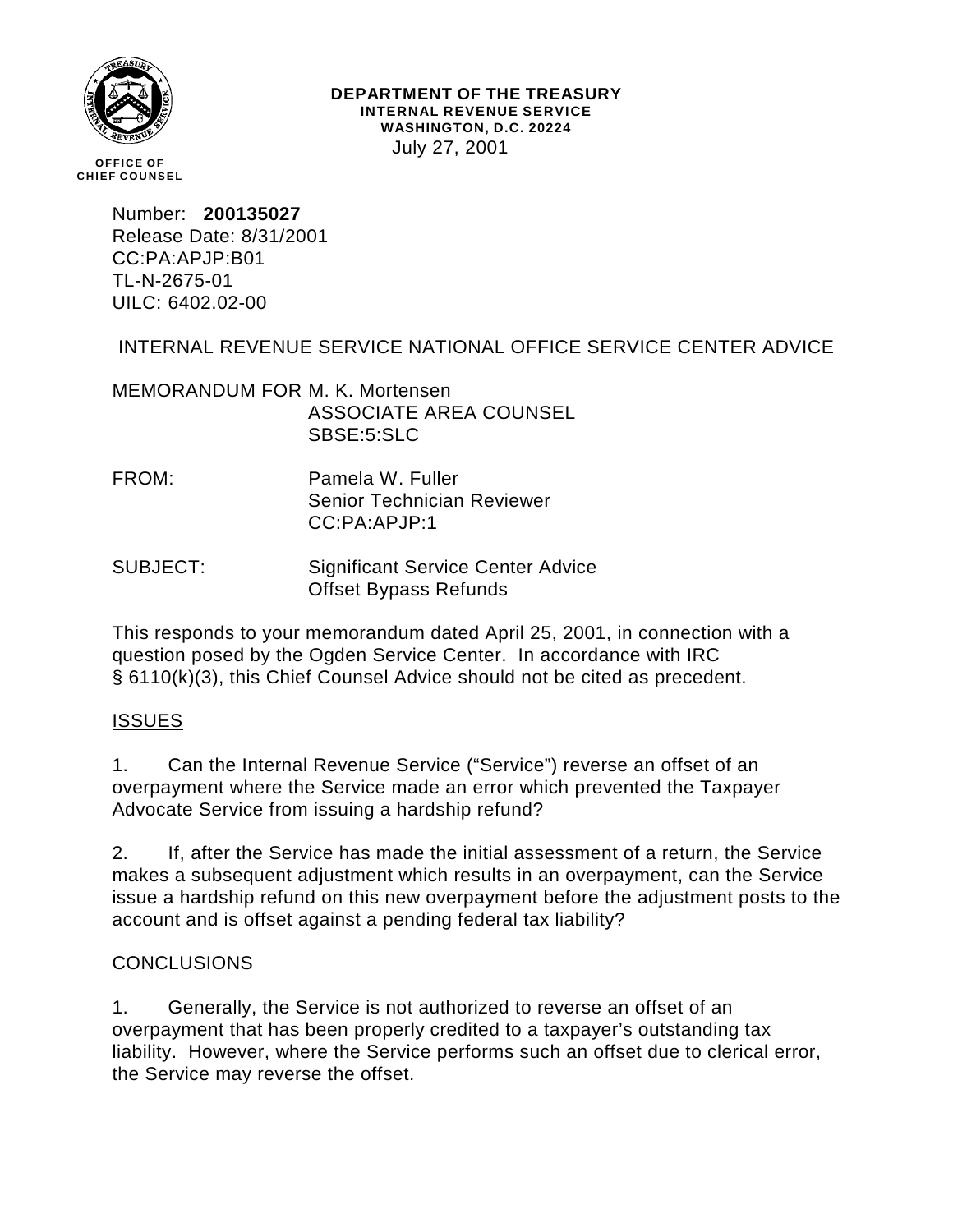

#### **DEPARTMENT OF THE TREASURY INTERNAL REVENUE SERVICE WASHINGTON, D.C. 20224** July 27, 2001

**OFFICE OF CHIEF COUNSEL**

> Number: **200135027** Release Date: 8/31/2001 CC:PA:APJP:B01 TL-N-2675-01 UILC: 6402.02-00

# INTERNAL REVENUE SERVICE NATIONAL OFFICE SERVICE CENTER ADVICE

MEMORANDUM FOR M. K. Mortensen ASSOCIATE AREA COUNSEL SBSE:5:SLC

- FROM: Pamela W. Fuller Senior Technician Reviewer CC:PA:APJP:1
- SUBJECT: Significant Service Center Advice Offset Bypass Refunds

This responds to your memorandum dated April 25, 2001, in connection with a question posed by the Ogden Service Center. In accordance with IRC § 6110(k)(3), this Chief Counsel Advice should not be cited as precedent.

### **ISSUES**

1. Can the Internal Revenue Service ("Service") reverse an offset of an overpayment where the Service made an error which prevented the Taxpayer Advocate Service from issuing a hardship refund?

2. If, after the Service has made the initial assessment of a return, the Service makes a subsequent adjustment which results in an overpayment, can the Service issue a hardship refund on this new overpayment before the adjustment posts to the account and is offset against a pending federal tax liability?

### CONCLUSIONS

1. Generally, the Service is not authorized to reverse an offset of an overpayment that has been properly credited to a taxpayer's outstanding tax liability. However, where the Service performs such an offset due to clerical error, the Service may reverse the offset.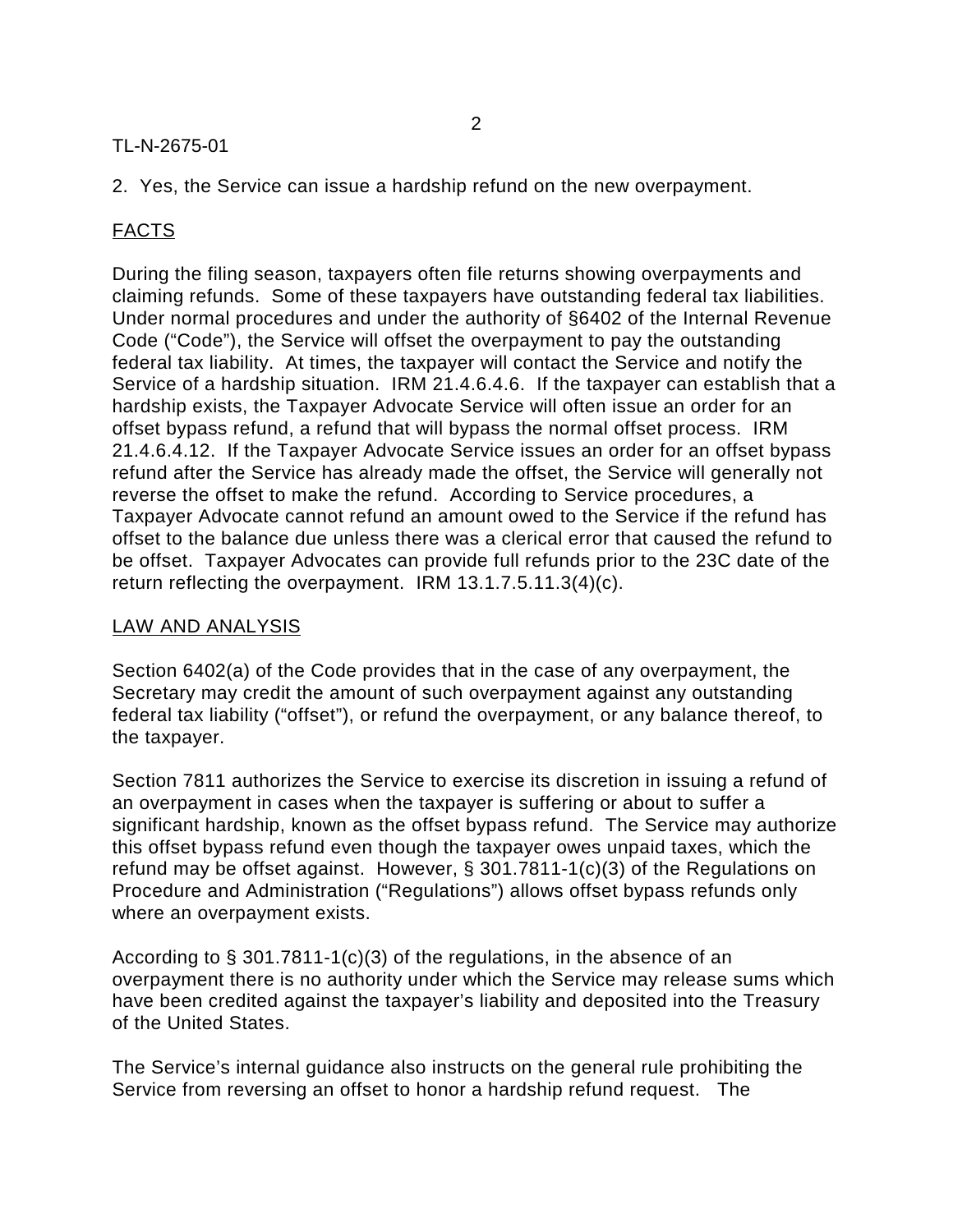### TL-N-2675-01

2. Yes, the Service can issue a hardship refund on the new overpayment.

# FACTS

During the filing season, taxpayers often file returns showing overpayments and claiming refunds. Some of these taxpayers have outstanding federal tax liabilities. Under normal procedures and under the authority of §6402 of the Internal Revenue Code ("Code"), the Service will offset the overpayment to pay the outstanding federal tax liability. At times, the taxpayer will contact the Service and notify the Service of a hardship situation. IRM 21.4.6.4.6. If the taxpayer can establish that a hardship exists, the Taxpayer Advocate Service will often issue an order for an offset bypass refund, a refund that will bypass the normal offset process. IRM 21.4.6.4.12. If the Taxpayer Advocate Service issues an order for an offset bypass refund after the Service has already made the offset, the Service will generally not reverse the offset to make the refund. According to Service procedures, a Taxpayer Advocate cannot refund an amount owed to the Service if the refund has offset to the balance due unless there was a clerical error that caused the refund to be offset. Taxpayer Advocates can provide full refunds prior to the 23C date of the return reflecting the overpayment. IRM 13.1.7.5.11.3(4)(c).

#### LAW AND ANALYSIS

Section 6402(a) of the Code provides that in the case of any overpayment, the Secretary may credit the amount of such overpayment against any outstanding federal tax liability ("offset"), or refund the overpayment, or any balance thereof, to the taxpayer.

Section 7811 authorizes the Service to exercise its discretion in issuing a refund of an overpayment in cases when the taxpayer is suffering or about to suffer a significant hardship, known as the offset bypass refund. The Service may authorize this offset bypass refund even though the taxpayer owes unpaid taxes, which the refund may be offset against. However, § 301.7811-1(c)(3) of the Regulations on Procedure and Administration ("Regulations") allows offset bypass refunds only where an overpayment exists.

According to § 301.7811-1(c)(3) of the regulations, in the absence of an overpayment there is no authority under which the Service may release sums which have been credited against the taxpayer's liability and deposited into the Treasury of the United States.

The Service's internal guidance also instructs on the general rule prohibiting the Service from reversing an offset to honor a hardship refund request. The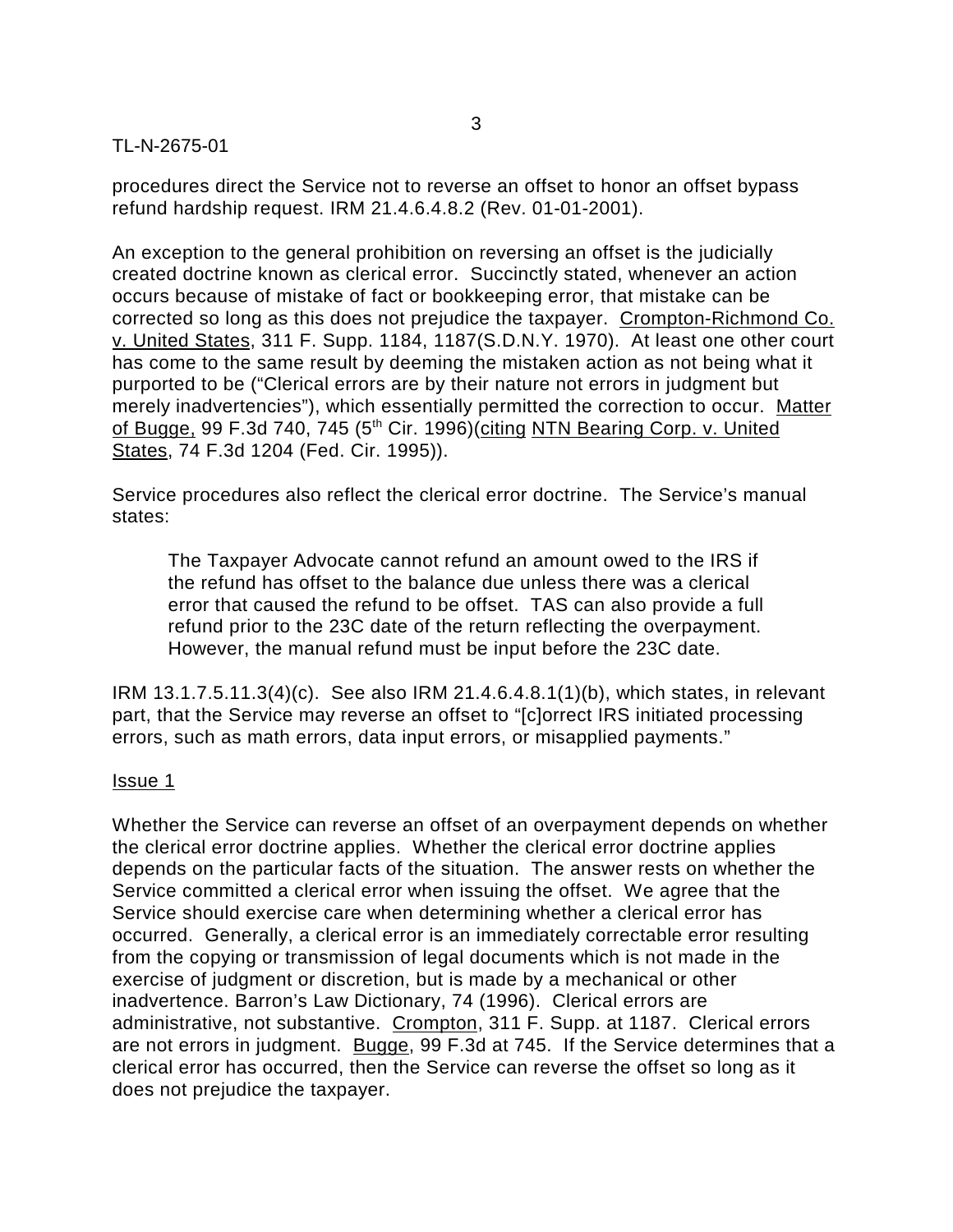#### TL-N-2675-01

procedures direct the Service not to reverse an offset to honor an offset bypass refund hardship request. IRM 21.4.6.4.8.2 (Rev. 01-01-2001).

An exception to the general prohibition on reversing an offset is the judicially created doctrine known as clerical error. Succinctly stated, whenever an action occurs because of mistake of fact or bookkeeping error, that mistake can be corrected so long as this does not prejudice the taxpayer. Crompton-Richmond Co. v. United States, 311 F. Supp. 1184, 1187(S.D.N.Y. 1970). At least one other court has come to the same result by deeming the mistaken action as not being what it purported to be ("Clerical errors are by their nature not errors in judgment but merely inadvertencies"), which essentially permitted the correction to occur. Matter of Bugge, 99 F.3d 740, 745 (5<sup>th</sup> Cir. 1996)(citing NTN Bearing Corp. v. United States, 74 F.3d 1204 (Fed. Cir. 1995)).

Service procedures also reflect the clerical error doctrine. The Service's manual states:

The Taxpayer Advocate cannot refund an amount owed to the IRS if the refund has offset to the balance due unless there was a clerical error that caused the refund to be offset. TAS can also provide a full refund prior to the 23C date of the return reflecting the overpayment. However, the manual refund must be input before the 23C date.

IRM 13.1.7.5.11.3(4)(c). See also IRM 21.4.6.4.8.1(1)(b), which states, in relevant part, that the Service may reverse an offset to "[c]orrect IRS initiated processing errors, such as math errors, data input errors, or misapplied payments."

#### Issue 1

Whether the Service can reverse an offset of an overpayment depends on whether the clerical error doctrine applies. Whether the clerical error doctrine applies depends on the particular facts of the situation. The answer rests on whether the Service committed a clerical error when issuing the offset. We agree that the Service should exercise care when determining whether a clerical error has occurred. Generally, a clerical error is an immediately correctable error resulting from the copying or transmission of legal documents which is not made in the exercise of judgment or discretion, but is made by a mechanical or other inadvertence. Barron's Law Dictionary, 74 (1996). Clerical errors are administrative, not substantive. Crompton, 311 F. Supp. at 1187. Clerical errors are not errors in judgment. Bugge, 99 F.3d at 745. If the Service determines that a clerical error has occurred, then the Service can reverse the offset so long as it does not prejudice the taxpayer.